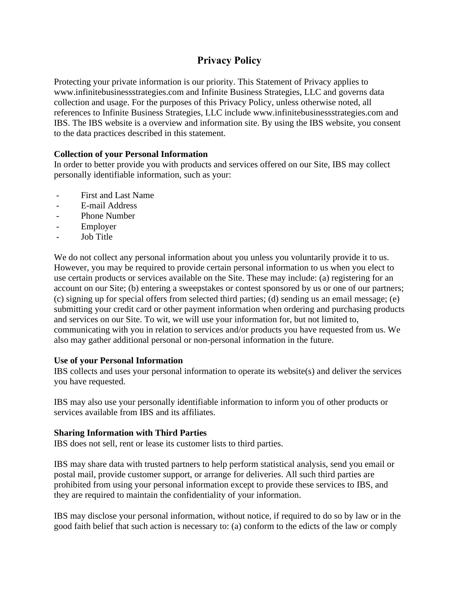# **Privacy Policy**

Protecting your private information is our priority. This Statement of Privacy applies to www.infinitebusinessstrategies.com and Infinite Business Strategies, LLC and governs data collection and usage. For the purposes of this Privacy Policy, unless otherwise noted, all references to Infinite Business Strategies, LLC include www.infinitebusinessstrategies.com and IBS. The IBS website is a overview and information site. By using the IBS website, you consent to the data practices described in this statement.

## **Collection of your Personal Information**

In order to better provide you with products and services offered on our Site, IBS may collect personally identifiable information, such as your:

- First and Last Name
- E-mail Address
- Phone Number
- Employer
- Job Title

We do not collect any personal information about you unless you voluntarily provide it to us. However, you may be required to provide certain personal information to us when you elect to use certain products or services available on the Site. These may include: (a) registering for an account on our Site; (b) entering a sweepstakes or contest sponsored by us or one of our partners; (c) signing up for special offers from selected third parties; (d) sending us an email message; (e) submitting your credit card or other payment information when ordering and purchasing products and services on our Site. To wit, we will use your information for, but not limited to, communicating with you in relation to services and/or products you have requested from us. We also may gather additional personal or non-personal information in the future.

#### **Use of your Personal Information**

IBS collects and uses your personal information to operate its website(s) and deliver the services you have requested.

IBS may also use your personally identifiable information to inform you of other products or services available from IBS and its affiliates.

#### **Sharing Information with Third Parties**

IBS does not sell, rent or lease its customer lists to third parties.

IBS may share data with trusted partners to help perform statistical analysis, send you email or postal mail, provide customer support, or arrange for deliveries. All such third parties are prohibited from using your personal information except to provide these services to IBS, and they are required to maintain the confidentiality of your information.

IBS may disclose your personal information, without notice, if required to do so by law or in the good faith belief that such action is necessary to: (a) conform to the edicts of the law or comply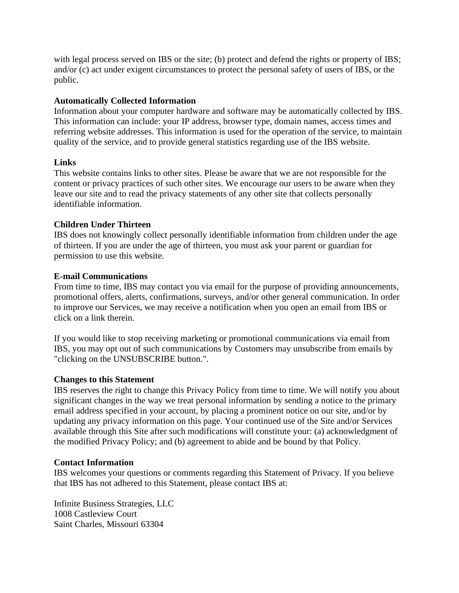with legal process served on IBS or the site; (b) protect and defend the rights or property of IBS; and/or (c) act under exigent circumstances to protect the personal safety of users of IBS, or the public.

## **Automatically Collected Information**

Information about your computer hardware and software may be automatically collected by IBS. This information can include: your IP address, browser type, domain names, access times and referring website addresses. This information is used for the operation of the service, to maintain quality of the service, and to provide general statistics regarding use of the IBS website.

#### **Links**

This website contains links to other sites. Please be aware that we are not responsible for the content or privacy practices of such other sites. We encourage our users to be aware when they leave our site and to read the privacy statements of any other site that collects personally identifiable information.

## **Children Under Thirteen**

IBS does not knowingly collect personally identifiable information from children under the age of thirteen. If you are under the age of thirteen, you must ask your parent or guardian for permission to use this website.

## **E-mail Communications**

From time to time, IBS may contact you via email for the purpose of providing announcements, promotional offers, alerts, confirmations, surveys, and/or other general communication. In order to improve our Services, we may receive a notification when you open an email from IBS or click on a link therein.

If you would like to stop receiving marketing or promotional communications via email from IBS, you may opt out of such communications by Customers may unsubscribe from emails by "clicking on the UNSUBSCRIBE button.".

#### **Changes to this Statement**

IBS reserves the right to change this Privacy Policy from time to time. We will notify you about significant changes in the way we treat personal information by sending a notice to the primary email address specified in your account, by placing a prominent notice on our site, and/or by updating any privacy information on this page. Your continued use of the Site and/or Services available through this Site after such modifications will constitute your: (a) acknowledgment of the modified Privacy Policy; and (b) agreement to abide and be bound by that Policy.

#### **Contact Information**

IBS welcomes your questions or comments regarding this Statement of Privacy. If you believe that IBS has not adhered to this Statement, please contact IBS at:

Infinite Business Strategies, LLC 1008 Castleview Court Saint Charles, Missouri 63304